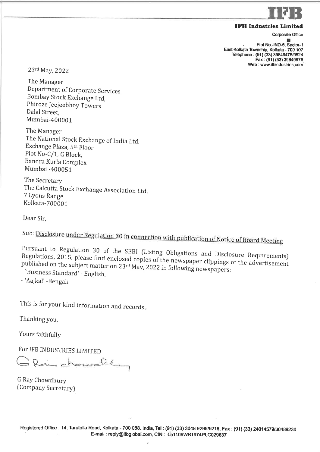

Corporate Office

I . Plot No.-IND-5, Sector-1 East Kolkata Township, Kolkata - 700 107 Telephone: (91) (33) 39849475/9524 Fax: (91) (33) 39849676 Web : www.ifbindustries.com

23rd May, 2022

The Manager Department of Corporate Services Bombay Stock Exchange Ltd, Phiroze Jeejeebhoy Towers Dalal Street, Mumbai-400001

The Manager The National Stock Exchange of India Ltd. Exchange Plaza, 5th Floor Plot No-C/1, G Block, Bandra Kurla Complex Mumbai -4000S1

The Secretary The Calcutta Stock Exchange Association Ltd. 7 Lyons Range Kolkata-700001

Dear Sir,

Sub: Disclosure under Regulation 30 in connection with publication of Notice of Board Meeting

Pursuant to Regulation 30 of the SEBI ruisuant to Regulation 30 of the SEBI (Listing Obligations and Disclosure Requirements)<br>Regulations, 2015, please find enclosed copies of the set of the set of Disclosure Requirements published on 2015, please find enclosed copies of the newspaper clippings of the advertisement the subject matter on  $23^{rd}$  May, 2022 in following newspapers: published on the subject matter on 23<sup>rd</sup> May, 2022 in following newspapers:<br>- `Business Standard' - English.

- 'Aajkal' -Bengali

This is for your kind information and records

Thanking you,

Yours faithfully

For IFB INDUSTRIES LIMITED

Rainchancelling

G Ray Chowdhury [Company Secretary)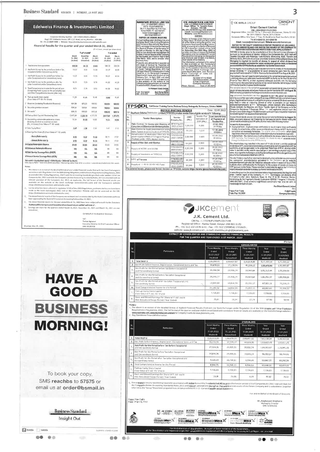Business Standard KOLKATA | MONDAY, 23 MAY 2022

|                                                                                                                                                                                                                                                                                                                                                                                                                                                                                                                                                                                                                                                                            | Corporate Identity Number : U67120MH1994PLC2B6057 |                                                             |                                              |                                      |                                              | 23A N 5. Road Room No 31 Pm Floor,<br>Kollara 200001 Pm - 035 4602 5371<br>helpetstepskap@gmal.com<br>www.nalasetateeb.com<br>NOTICE OF BOARD MEETING                                                                                                                                        |                                                                |
|----------------------------------------------------------------------------------------------------------------------------------------------------------------------------------------------------------------------------------------------------------------------------------------------------------------------------------------------------------------------------------------------------------------------------------------------------------------------------------------------------------------------------------------------------------------------------------------------------------------------------------------------------------------------------|---------------------------------------------------|-------------------------------------------------------------|----------------------------------------------|--------------------------------------|----------------------------------------------|----------------------------------------------------------------------------------------------------------------------------------------------------------------------------------------------------------------------------------------------------------------------------------------------|----------------------------------------------------------------|
| Regd Off: Edelwerss House, Off. C S.T. Road, Kalina, Mumbai 400 098<br>Tel: +91-22-4009-4400   Website: https://edelweissinvestinent edelweissfin com                                                                                                                                                                                                                                                                                                                                                                                                                                                                                                                      |                                                   |                                                             |                                              |                                      |                                              |                                                                                                                                                                                                                                                                                              | Notice is a<br>to Negulati<br>67 of the S<br><b>Disclasure</b> |
| Financial Results for the quarter and year ended March 31, 2022                                                                                                                                                                                                                                                                                                                                                                                                                                                                                                                                                                                                            |                                                   |                                                             |                                              | (6 in Croses, except per share data) |                                              |                                                                                                                                                                                                                                                                                              | 2015, a me<br>at iFN ledi<br>on Saturd                         |
|                                                                                                                                                                                                                                                                                                                                                                                                                                                                                                                                                                                                                                                                            | March<br>31, 2022<br>(Audiled)                    | Quarter emped<br><b>Dacember</b><br>31, 2021<br>(Unaudiled) | March<br>31, 2021<br>(Audited)               | March<br>31, 2022<br>(Audiled)       | Year unded<br>March<br>31, 2021<br>(Audited) | The state of the state of the state of the state of the state of the state of the state of the state of the state of the state of the state of the state of the state of the state of the state of the state of the state of t<br>31st March, 2022, and to consider other<br>business if any | Standalone<br>Monulls of I<br>and financi<br>3022 testid       |
| 1 Total income from operations                                                                                                                                                                                                                                                                                                                                                                                                                                                                                                                                                                                                                                             | 110.59                                            | 54.33                                                       | 81.65                                        | 388 33                               | 200.59                                       | Please be also advised that in accordance                                                                                                                                                                                                                                                    | The inform<br>is also ava<br>wobside wy<br>Glau urt the        |
| 2 Net Profit / (Loss) for the period/year foelore Tax.<br>Exceptional and/or Extraordinary items)                                                                                                                                                                                                                                                                                                                                                                                                                                                                                                                                                                          | 13.27                                             | 8.81                                                        | 11.93                                        | 59.07                                | 18.55                                        | Film Code of Central for Prevention of<br>sith Code of Central for Prevention of<br>sith State Tradeg east with SED (Previous of the State Tradeg) Regulations, 2015 the<br>sith sith for the Concern and Central Central Central fit a                                                      | de. Bomb<br>www.bsel<br>Stock Lix<br>www.nastr                 |
| Net Profit / (Loss) for the period'year before Tax<br>(after Exceptional and or Extraordinary ilems)                                                                                                                                                                                                                                                                                                                                                                                                                                                                                                                                                                       | 13 27                                             | 6.61                                                        | 11.93                                        | 59.07                                | 18.55                                        | Company from 1st April, 2022 and shall                                                                                                                                                                                                                                                       |                                                                |
| Net Profit / (Loss) for the period/year after Tax<br>(after Exceptional and/or Extraordinary items)                                                                                                                                                                                                                                                                                                                                                                                                                                                                                                                                                                        | 10.23                                             | 7.23                                                        | 9.76                                         | 44.B2                                | 14.35                                        | also available on the watere of the<br>Company www.natayanisters.co.inandon<br>Peletiste of BSE at www.busingla.com.                                                                                                                                                                         | Place : Kell                                                   |
| Total Comprehensive Income for the period/ year<br>[Comprising Profit / (Loss) for the period (after tax)                                                                                                                                                                                                                                                                                                                                                                                                                                                                                                                                                                  | 9,71                                              | 7,29                                                        | 9.53                                         | 44.50                                | 14,62                                        | For Marayant Steels Limited<br>Arun Kumar Mahar<br>Cumpany (Jeontary                                                                                                                                                                                                                         |                                                                |
| and Other Comprehensive Income (after tax)]<br>6 Paid-up equity share capital                                                                                                                                                                                                                                                                                                                                                                                                                                                                                                                                                                                              | 11.45                                             | 11.46                                                       | 11,46                                        | 11.46                                | 11.46                                        | 'ace : Victoriagnon<br>Nels : 20 05 2022                                                                                                                                                                                                                                                     |                                                                |
| (Face Value of ₹ 10/- Per Share)<br>7 Reserves (excluding Revaluation Reserves)                                                                                                                                                                                                                                                                                                                                                                                                                                                                                                                                                                                            | 684.94                                            | 675 23                                                      | 640 03                                       | 684,94                               | 640.03                                       |                                                                                                                                                                                                                                                                                              |                                                                |
| 6 Secunties premium account                                                                                                                                                                                                                                                                                                                                                                                                                                                                                                                                                                                                                                                | 508.64                                            | 508.64                                                      | 508.64                                       | 508.64                               | 308.64                                       | TPS©DL Call Center /Training Conter, Duduma Colony, Am                                                                                                                                                                                                                                       | <b>NOTICE INVITING TENDER</b>                                  |
| 9 Net worth<br>10 Paid-up Debl Capital / Outstanding Debt                                                                                                                                                                                                                                                                                                                                                                                                                                                                                                                                                                                                                  | 696.40<br>2,417.49                                | 666 69<br>2.226.13                                          | 649.16<br>1.373.75                           | 656.40<br>2,417.49                   | 649.16<br>1,373.75                           | TP Southern Odisha Distribution Limited (TPSODL) invites tender fro                                                                                                                                                                                                                          |                                                                |
| 11 Outstanding redeemable preference shares<br>(including dividend accrued but not due)                                                                                                                                                                                                                                                                                                                                                                                                                                                                                                                                                                                    | 1534                                              | 15.00                                                       | 16.00                                        | 15.34                                | 15.06                                        | SI.<br><b>Tender Description</b><br>No                                                                                                                                                                                                                                                       | Tondor<br>Enquiry No.                                          |
| (Rs. in Crores) (Face Value of ₹ 10/- each)<br>12 Debi Equity Ratio                                                                                                                                                                                                                                                                                                                                                                                                                                                                                                                                                                                                        | 2.41                                              | 3.24                                                        | 2.12                                         | 3.47                                 | 2.12                                         | Rate Contract for Survey and Magning of<br>Consoles in GG environment in taking of polas.                                                                                                                                                                                                    | <b>TPSODLIOT</b><br>2022-23/027                                |
| 13 Earnings Per Share (₹) (Face Value of ₹ 10/-each)                                                                                                                                                                                                                                                                                                                                                                                                                                                                                                                                                                                                                       |                                                   |                                                             |                                              |                                      |                                              | Rate Contract for Supply and Installation of Brig<br>2<br>Melnic System at various locations of TPSODL<br>Construction of degreated 33kV line for<br>э                                                                                                                                       | TPSODL/OT<br>2022-23/038<br>TPSODL/01                          |
| - Basic (Rafer octa 5)<br>- Daniel (Refer note 5)                                                                                                                                                                                                                                                                                                                                                                                                                                                                                                                                                                                                                          | 8.93<br>4.93                                      | 632<br>6.32                                                 | 11,33<br>(1,33)                              | 39,11<br>39.11                       | 17,07<br>17.07                               | power supply to Medical College at Rujang<br>Phulbani under 100% deposit norms                                                                                                                                                                                                               | 2022-23/039                                                    |
| 14 Capital Redemption Raserve                                                                                                                                                                                                                                                                                                                                                                                                                                                                                                                                                                                                                                              | 22.03                                             | 22.63                                                       | 22.63                                        | 23.03                                | 22,63                                        | ۸<br>Supply of Nut. Bot and Washer                                                                                                                                                                                                                                                           | <b>I</b> sobuoti<br>2022-23:040<br><b>TPSODL/OT</b>            |
| 15 Osbenium Hedemptico Hesenve<br>15 Debt Service Coverage Ratio (DSCR)                                                                                                                                                                                                                                                                                                                                                                                                                                                                                                                                                                                                    | m<br><b>NA</b>                                    | NA<br><b>IEA</b>                                            | NA<br>NA                                     | NA<br>NA                             | NA<br>NA                                     | 5<br>Supply of ACDB and DCDB                                                                                                                                                                                                                                                                 | 2022-23/041<br>TPSODL/OT/                                      |
| 17 Interest Service Coverage Ratio (ISCR)                                                                                                                                                                                                                                                                                                                                                                                                                                                                                                                                                                                                                                  | <b>NA</b>                                         | KA                                                          | NA                                           | NA                                   | NA                                           | 6<br>Supply of Insulators at TPSODL                                                                                                                                                                                                                                                          | 2022-23/042<br>TPSODL/OT/                                      |
| Het worth . Equity share causal . Other Equity - Deferred fax Accres<br>Debt equity Ratio = Toral debt (Debt securities + Borrowings other than debt securities + subpromated liabilities) / Net worth                                                                                                                                                                                                                                                                                                                                                                                                                                                                     |                                                   |                                                             |                                              |                                      |                                              | r.<br><b>SITC all Servers</b><br>Supply of 11 KV 8 33 KV HG Fuse<br>۰<br>For detailed lender, please wild Tender Section on TPSODL website for                                                                                                                                               | 2022-23/043<br>TPSODUOT                                        |
| made to the Stock Exchange(s) (BSE) and on the Company's Website and can be accessed on the URL<br>(https://edelweissinvestment.edelweissfin.com).<br>The above financial results of the Company are reviewed and recommended by the Audit Committee and have<br>been approved by the Board of Directors at its meeting held on May 19, 2022.<br>The above financial results for the year ended March 31, 2022 have been subjected to audit by the Statutory<br>Auditors of the Company and the auditors have issued an unqualified audit report.<br>Earnings per share for the quarters ended March 31, 2022, December 31, 2021 and March 31, 2021 are not<br>annualized. |                                                   |                                                             |                                              |                                      |                                              |                                                                                                                                                                                                                                                                                              |                                                                |
|                                                                                                                                                                                                                                                                                                                                                                                                                                                                                                                                                                                                                                                                            |                                                   |                                                             | On behalf of the Board of Directors          |                                      |                                              |                                                                                                                                                                                                                                                                                              |                                                                |
|                                                                                                                                                                                                                                                                                                                                                                                                                                                                                                                                                                                                                                                                            |                                                   | $Sd/-$<br>Tushar Agrawal                                    |                                              |                                      |                                              |                                                                                                                                                                                                                                                                                              |                                                                |
| Mumbai, May 19, 2022                                                                                                                                                                                                                                                                                                                                                                                                                                                                                                                                                                                                                                                       |                                                   | DIN: 08285408                                               | Executive Director & Chief Executive Officer |                                      |                                              |                                                                                                                                                                                                                                                                                              | Register<br>Ph.: +91 512                                       |
|                                                                                                                                                                                                                                                                                                                                                                                                                                                                                                                                                                                                                                                                            |                                                   |                                                             |                                              |                                      |                                              |                                                                                                                                                                                                                                                                                              |                                                                |
|                                                                                                                                                                                                                                                                                                                                                                                                                                                                                                                                                                                                                                                                            |                                                   |                                                             |                                              |                                      |                                              |                                                                                                                                                                                                                                                                                              |                                                                |
|                                                                                                                                                                                                                                                                                                                                                                                                                                                                                                                                                                                                                                                                            |                                                   |                                                             |                                              |                                      |                                              |                                                                                                                                                                                                                                                                                              | website: www.jk<br><b>EXTRACT OF CONSOL</b><br>FOR THE Q       |
|                                                                                                                                                                                                                                                                                                                                                                                                                                                                                                                                                                                                                                                                            |                                                   |                                                             |                                              |                                      |                                              |                                                                                                                                                                                                                                                                                              |                                                                |
|                                                                                                                                                                                                                                                                                                                                                                                                                                                                                                                                                                                                                                                                            |                                                   |                                                             |                                              |                                      |                                              | Sĩ.<br><b>Particulars</b><br>No                                                                                                                                                                                                                                                              |                                                                |
|                                                                                                                                                                                                                                                                                                                                                                                                                                                                                                                                                                                                                                                                            |                                                   |                                                             |                                              |                                      |                                              |                                                                                                                                                                                                                                                                                              |                                                                |
|                                                                                                                                                                                                                                                                                                                                                                                                                                                                                                                                                                                                                                                                            |                                                   |                                                             |                                              |                                      |                                              | Tetal Income<br>ı<br>Net Profit before Interest, Depreciation, Exceptional Items a                                                                                                                                                                                                           |                                                                |
|                                                                                                                                                                                                                                                                                                                                                                                                                                                                                                                                                                                                                                                                            |                                                   |                                                             |                                              |                                      |                                              | Net Profit for the Period before Tax (before Exceptional<br>3.<br>and Extraordinary Items)                                                                                                                                                                                                   |                                                                |
|                                                                                                                                                                                                                                                                                                                                                                                                                                                                                                                                                                                                                                                                            |                                                   |                                                             |                                              |                                      |                                              | Net Profit for the Period before Tax (after Exceptional<br>4<br>and Extraordinary Items)                                                                                                                                                                                                     |                                                                |
| <b>HAVE A</b>                                                                                                                                                                                                                                                                                                                                                                                                                                                                                                                                                                                                                                                              |                                                   |                                                             |                                              |                                      |                                              | Net Profit for the Period after Tax (after Exceptional and<br>5.<br><b>Extraordinary Items)</b>                                                                                                                                                                                              |                                                                |
|                                                                                                                                                                                                                                                                                                                                                                                                                                                                                                                                                                                                                                                                            |                                                   |                                                             |                                              |                                      |                                              | 赢<br>Total Comprehensive Income for the Period<br>Paid-up Foulty Share Canital                                                                                                                                                                                                               |                                                                |
| <b>GOOD</b>                                                                                                                                                                                                                                                                                                                                                                                                                                                                                                                                                                                                                                                                |                                                   |                                                             |                                              |                                      |                                              | (flace Value of ₹ 10/+ Per Share)<br>Basic and Diluted Earnings Per Share (of ₹ 10/+ each)<br>8                                                                                                                                                                                              |                                                                |
|                                                                                                                                                                                                                                                                                                                                                                                                                                                                                                                                                                                                                                                                            |                                                   |                                                             |                                              |                                      |                                              | (Not Annualized Except Period / Year Ended)<br>Notes:                                                                                                                                                                                                                                        |                                                                |
| <b>BUSINESS</b>                                                                                                                                                                                                                                                                                                                                                                                                                                                                                                                                                                                                                                                            |                                                   |                                                             |                                              |                                      |                                              | 1. The above is an extract of the detaited format of Audited Finar<br>Requirements) Regulations, 2015. The full format of the quarter<br>www.nseindia.com, www.bsirindia.com and on the Company's wel<br>2. Key Standalone Financial Information:                                            |                                                                |
| <b>MORNING!</b>                                                                                                                                                                                                                                                                                                                                                                                                                                                                                                                                                                                                                                                            |                                                   |                                                             |                                              |                                      |                                              | 51<br>Porticulars<br>No.                                                                                                                                                                                                                                                                     |                                                                |
|                                                                                                                                                                                                                                                                                                                                                                                                                                                                                                                                                                                                                                                                            |                                                   |                                                             |                                              |                                      |                                              | 1.<br><b>Tetal Income</b><br>z.<br>Net Profit before Interest, Depreciation, Exceptional Items at                                                                                                                                                                                            |                                                                |
|                                                                                                                                                                                                                                                                                                                                                                                                                                                                                                                                                                                                                                                                            |                                                   |                                                             |                                              |                                      |                                              | Net Profit for the Period before Tax (before Exceptional<br>э<br>and Extraordinary Items)                                                                                                                                                                                                    |                                                                |
|                                                                                                                                                                                                                                                                                                                                                                                                                                                                                                                                                                                                                                                                            |                                                   |                                                             |                                              |                                      |                                              | Net Profit for the Period before Tax (after Exceptional<br>4<br>and Extraordinary Iterns)                                                                                                                                                                                                    |                                                                |
|                                                                                                                                                                                                                                                                                                                                                                                                                                                                                                                                                                                                                                                                            |                                                   |                                                             |                                              |                                      |                                              | Net Profit for the Period after Tax (after Exceptional and<br>5<br>Extraordinary Items)                                                                                                                                                                                                      |                                                                |
|                                                                                                                                                                                                                                                                                                                                                                                                                                                                                                                                                                                                                                                                            |                                                   |                                                             |                                              |                                      |                                              | a<br>Total Comprehensive Income for the Period                                                                                                                                                                                                                                               |                                                                |
|                                                                                                                                                                                                                                                                                                                                                                                                                                                                                                                                                                                                                                                                            |                                                   |                                                             |                                              |                                      |                                              | Paid-up Figuity Share Capital<br>7<br>(Pace Value of ₹ 10/- Per Share)                                                                                                                                                                                                                       |                                                                |
| To book your copy,                                                                                                                                                                                                                                                                                                                                                                                                                                                                                                                                                                                                                                                         |                                                   |                                                             |                                              |                                      |                                              | Basic and Diluted Earnings Per Share (of ₹ 10/- each)<br>8<br>(Not Annualized Except Period / Year Ended)                                                                                                                                                                                    |                                                                |
| SMS reachbs to 57575 or<br>email us at order@bsmail.in                                                                                                                                                                                                                                                                                                                                                                                                                                                                                                                                                                                                                     |                                                   |                                                             |                                              |                                      |                                              | These linantial results have been prepared in accordance with lind<br>the Companies (Indian Accounting Standards) Rules 2015 and rel<br>referred as the "Group") have been prepared in accordance with In                                                                                    |                                                                |
|                                                                                                                                                                                                                                                                                                                                                                                                                                                                                                                                                                                                                                                                            |                                                   |                                                             |                                              |                                      |                                              | Piace: New Delhi<br>Date : May 21, 2022                                                                                                                                                                                                                                                      |                                                                |
|                                                                                                                                                                                                                                                                                                                                                                                                                                                                                                                                                                                                                                                                            |                                                   |                                                             |                                              |                                      |                                              |                                                                                                                                                                                                                                                                                              |                                                                |
| <b>Business Standard</b>                                                                                                                                                                                                                                                                                                                                                                                                                                                                                                                                                                                                                                                   |                                                   |                                                             |                                              |                                      |                                              |                                                                                                                                                                                                                                                                                              |                                                                |
|                                                                                                                                                                                                                                                                                                                                                                                                                                                                                                                                                                                                                                                                            | Insight Out                                       |                                                             |                                              |                                      |                                              | <b><i>SMEAR HILLY</i></b>                                                                                                                                                                                                                                                                    |                                                                |

| J                      |                                  |                                                                | IFB INDUSTRIES LIMITED<br>CIN: LS1109WII1974FLC029637<br>Regd. Office: 14, Taratalla Road.<br>Kalkata - 700 085<br>Pb: 033-30469799;Fax:033-30489230<br>Email: mestoru@fligiobal.com<br>Website: www.dirmtustries.com<br><b>NOTICE</b><br>Notice is hereby given that sursuant                                                                                                                                                                                                                                                                                                                                                                                                                                                                                                                                              |                                                        |
|------------------------|----------------------------------|----------------------------------------------------------------|-----------------------------------------------------------------------------------------------------------------------------------------------------------------------------------------------------------------------------------------------------------------------------------------------------------------------------------------------------------------------------------------------------------------------------------------------------------------------------------------------------------------------------------------------------------------------------------------------------------------------------------------------------------------------------------------------------------------------------------------------------------------------------------------------------------------------------|--------------------------------------------------------|
| đ<br>ä<br>ł<br>ï<br>í. |                                  | 2022 beside other matters<br>www.maindia.cum<br>Mace : Kelkata | to Negulation 29 road with Regulation<br>47 of the SEIRI (Listing Obligations and<br>Disclasure Raquireanonis) Regulations,<br>2015, a meeting of the Board of Directors<br>of IFB leduxities Limited will be held<br>on Saturday, the 28th May, 2022 is<br>consider and take on record the Audited<br>Standalone and Consolidated Financial<br>Results of the Company for the quarter<br>and financial year ended 31st March<br>The information contained in this notice<br>is also available on the Company's<br>woods www.ifbinduxtries.com and<br>diso on the website of Stock Exchienpes<br>elz. Bombay Stock Exchange Ltd.<br>www.bseindla.com and National<br>Stock Exchange of Josta Ltd.<br>By order of the Beard<br>For IFB Instuszies Limited<br><b>G Ray Chowdrury</b><br>Company Secretary<br>Date: 21.05.2022 |                                                        |
|                        |                                  |                                                                |                                                                                                                                                                                                                                                                                                                                                                                                                                                                                                                                                                                                                                                                                                                                                                                                                             |                                                        |
|                        | <b>E INVITING TENDER</b>         |                                                                | Center, Duduma Colony, Ambagada, Bethampur, Odisha-760001                                                                                                                                                                                                                                                                                                                                                                                                                                                                                                                                                                                                                                                                                                                                                                   | Date<br>22 05 2022                                     |
|                        | Tondor<br>Enquiry No.            | EMD<br>(Rs)                                                    | SODL) invites tender from eligible sendors for following:<br>Tender Fee<br>Inclusive of<br>GST (Rs.)                                                                                                                                                                                                                                                                                                                                                                                                                                                                                                                                                                                                                                                                                                                        | Last date & time<br>of Payment of<br><b>Tender Fee</b> |
| εł<br>k                | <b>TPSODLIOT</b><br>2022-23/027  | 5.00.000                                                       | 5.000                                                                                                                                                                                                                                                                                                                                                                                                                                                                                                                                                                                                                                                                                                                                                                                                                       | 31 05 2072<br><b>IN GOFFIEL</b>                        |
| юl<br>X,               | TPSODL/OT/<br>2022-23/038        | 50.000                                                         | 5.000                                                                                                                                                                                                                                                                                                                                                                                                                                                                                                                                                                                                                                                                                                                                                                                                                       | 02 05 2022<br>10.0GHzs.                                |
| ĎН<br>ş                | TPSODL/O1/<br>2022-23/039        | 2.00.000                                                       | 5.000                                                                                                                                                                                                                                                                                                                                                                                                                                                                                                                                                                                                                                                                                                                                                                                                                       | 03 06 2022<br>18 00Hrs                                 |
|                        | <b>FISODUOTI</b><br>2022-23/040  | 50,000                                                         | 5,000                                                                                                                                                                                                                                                                                                                                                                                                                                                                                                                                                                                                                                                                                                                                                                                                                       | 04 06 2022<br><b>B.OOHis</b>                           |
|                        | <b>TPSODL/OT/</b><br>2022-23/041 | 2.00.000                                                       | 5,000                                                                                                                                                                                                                                                                                                                                                                                                                                                                                                                                                                                                                                                                                                                                                                                                                       | 06.06 2022<br>18 00lins                                |
|                        | <b>TPSODL/OT/</b><br>2022-23/042 | 2.00.000                                                       | 5.000                                                                                                                                                                                                                                                                                                                                                                                                                                                                                                                                                                                                                                                                                                                                                                                                                       | 05 06 2022<br>18 00Hrs                                 |
|                        | <b>FPSODL/OT/</b><br>2022-23/043 | 50,000                                                         | 5,000                                                                                                                                                                                                                                                                                                                                                                                                                                                                                                                                                                                                                                                                                                                                                                                                                       | 05 66 2022<br>18 00 fas                                |

**ORIENT** (CCK BIRLA CROUP **Orient Cement Limited** 

 $[{{\bf{H}}}_{\rm{2}}] = \begin{bmatrix} {\bf{H}}[{\bf{H}}] \left( \begin{array}{cccc} {\bf{H}}[{\bf{H}}] \left( \begin{array}{cccc} 0 \\ 0 \end{array} \right) \left( \begin{array}{cccc} 0 \\ 0 \end{array} \right) \left( \begin{array}{cccc} 0 \\ 0 \end{array} \right) \left( \begin{array}{cccc} 0 \\ 0 \end{array} \right) \left( \begin{array}{cccc} 0 \\ 0 \end{array} \right) \left( \begin{array}{cccc} 0 \\ 0 \end{array} \right) \left( \begin{array}{cccc} 0 \\ 0 \end{array} \right) \left( \$ 

is mainted and interaction of the state of the control of the density of the state of the state of the state of the state of the state of the state of the state of the state of the state of the state of the state of the s

let transfer by NEFT or Issuance of Demonstrant<br>In cose the dividination are not climate by the concernation shareful by August 11<br>1922, nocessary steps will be initiated by the Company to transfer shares held by the<br>conce

ances me a brancophology (select an exceptional field of experiments) and the specifical property these conditions in the condition of the specifical property between the conditions of the specifical property between the

i Prough Dio Depositorios in the EPF Autors (to<br>The altaceration may note that in the second of the six as and the unalphreat<br>Windows as EPF, process and the individual paper and collection and then in EPF by<br>Windows and C

Showrest terms extend to Web Form (1971-1).<br>The star-collection and the concentral polaristic of position of polaristic and polarized<br>polarization of the concentration of the concentration of the concentration<br>of the conc

In case of any queries. The concerned shareholders may presse contact the Heypster and Constitution of the Company, with Constitution of the Company of the Company of the Company of the Company of the Company of the Compan

For Orient Cement Limit

Nighi Bisari<br>Company Secretar



Place: Naw Dathi<br>Date: May 20, 2022

CN No. ; L17229UP1994PLC017199<br>egistered Office : Kamla Tower, Kanpur-208 001 (LI.P.)<br>11 512 2371478 to 81 ; Fax : +91 512 2399BS4/ 2332665 ;<br>www.jkcemenLcom ; e-mail: shambhu.singh@jkcemenLcor

## **ONSOLIDATED AND STANDALONE AUDITED FINANCIAL RESULTS<br>ONSOLIDATED AND STANDALONE AUDITED FINANCIAL RESULTS<br>THE QUARTER AND YEAR ENDED 31ST MARCH , 2022**

|          |                                                                                                      | <b>CONSOLIDATED</b>                                     |                                                    |                                                  |                                                  |                                            |  |  |
|----------|------------------------------------------------------------------------------------------------------|---------------------------------------------------------|----------------------------------------------------|--------------------------------------------------|--------------------------------------------------|--------------------------------------------|--|--|
|          | <b>Particulars</b>                                                                                   | <b>Three Months</b><br>Ended<br>31 03 2022<br>(Audited) | Three Months<br>Ended<br>31 12 2021<br>(Unaudited) | Three Months<br>Ended<br>31 03 2021<br>(Audited) | Year<br><b>Cinded</b><br>31 03 2022<br>(Audited) | Veur.<br>Ended:<br>31.03.2021<br>(Audited) |  |  |
|          | Total Income                                                                                         | 2.39.298.41                                             | 2.05.627.52                                        | 2,16,818.88                                      | 6,13,369.14                                      | 6,71,905.62                                |  |  |
|          | Net Profit before Interest, Depreciation, Exceptional Items and Tax                                  | 39,879.93                                               | 37,130.96                                          | 45,336.12                                        | 1,53,475.49                                      | 1,55,985.87                                |  |  |
|          | Net Profit for the Period before Tax (before Exceptional<br>and Extraordinary Items)                 | 26,266,94                                               | 23,356.74                                          | 33,943.64                                        | 1,01,312,44                                      | 1.09.268.08                                |  |  |
| Δ        | Net Profit for the Period before Tax (after Exceptional<br>and Extraordinary Items)                  | 26,245.77                                               | 23,356,74                                          | 33,943.64                                        | 1.01.291.27                                      | 1,09,268.08                                |  |  |
| 5        | Net Profit for the Period after Tax (after Exceptional and<br><b>Extraordinary Items)</b>            | 19,944.00                                               | 14.018.70                                          | 21,431 17                                        | 67.921.11                                        | 70,310.13                                  |  |  |
| t.       | Total Comprehensive Income for the Period                                                            | 21.181.02                                               | 14,094.99                                          | 21,852.15                                        | 69,552 63                                        | 70.359.20                                  |  |  |
|          | Paid-up I quity Share Capital<br>(Face Value of ₹ 10/- Per Share)                                    | 7,726.83                                                | 7,726.83                                           | 7,726.03                                         | 7,726.83                                         | 7,726.83                                   |  |  |
| $\theta$ | Basic and Diluted Earnings Per Share (of ₹ 10/- each)<br>(Not Annualized Except Period / Year Ended) | 25.81                                                   | 18.14                                              | 27.74                                            | 8790                                             | 90.99                                      |  |  |
|          |                                                                                                      |                                                         |                                                    |                                                  |                                                  |                                            |  |  |

ed Financial Results filed with the Stock Exchanges under Regulation 33 of the SEBI (USUNg and Other Oscionium<br>quarter and year ended consolidated and standalone financial results are available on the Stock Exchange websit

|   |                                                                                                      | <b>STANDALONE</b>                                       |                                                           |                                                         |                                           |                                          |  |  |
|---|------------------------------------------------------------------------------------------------------|---------------------------------------------------------|-----------------------------------------------------------|---------------------------------------------------------|-------------------------------------------|------------------------------------------|--|--|
|   | <b>Porticulars</b>                                                                                   | <b>Tiree Months</b><br>Ended<br>31.03.2022<br>(Audited) | <b>Three Months</b><br>Ended<br>31 12 2021<br>(Unaudited) | <b>Three Months</b><br>Ended<br>31 03 2021<br>(Audited) | Year<br>Ended<br>31.03.2022<br>(Auditect) | Year<br>Ended<br>31 03 2021<br>(Audited) |  |  |
|   | Total Income                                                                                         | 2,31,013.28                                             | 1,96,678.20                                               | 2,08,651.51                                             | 7.82.138.00                               | 6,44,163.58                              |  |  |
|   | Net Profit before Interest, Depreciation, Exceptional Items and Tax                                  | 39,735.55                                               | 37.725.17                                                 | 44,828.95                                               | 1.53.602.49                               | 1,53,611.26                              |  |  |
|   | Net Profit for the Petiod before Tax (before Exceptional.<br>and Extraordinary Items)                | 27,924.36                                               | 25,995.91                                                 | 35,532.74                                               | 1,09,353.57                               | 1.15.941.15                              |  |  |
|   | Net Profit for the Period before Tax (after Exceptional<br>and Extraordinary Iterns)                 | 14,924.36                                               | 25,995.91                                                 | 18,846.24                                               | 96,353.57                                 | 99,254.65                                |  |  |
|   | Net Profit for the Period after Tax (after Exceptional and<br>Extraordinary Items)                   | 8,626.49                                                | 16,734.11                                                 | 6,334.40                                                | 63,067-72                                 | 60.282.58                                |  |  |
| G | Total Comprehensive Income for the Period                                                            | 8.904.75                                                | 16,768.23                                                 | 6,566 63                                                | 63,448.33                                 | 60.419.05                                |  |  |
|   | Paid-up Figuity Share Capital<br>(Face Value of ₹ 10/- Per Share).                                   | 7,726 83                                                | 7,726.83                                                  | 7,726.83                                                | 7,726.83                                  | 7,726 83                                 |  |  |
| 8 | Basic and Diluted Earnings Per Share (of ₹ 10/- each)<br>(Not Annualized Except Period / Year Ended) | 11.16                                                   | 21.66                                                     | 8.20                                                    | 81.62                                     | 78.02                                    |  |  |

i and relevant amendment thereafter. The said financial results of the Parent Company and its subsidiaries (togethe<br>e with Ind AS 1 LO – Consolidated financial statements.

**JK SUPEN**<br>STRONG

卷条

For and on Behalf of the Board of Directors Dr. Raghavpat Singhania<br>Managing Director<br>DIN: 02426556

 $\mathbb{W}$ MacMax $\mathbb{X}$  **Max** $\mathbb{X}$  **Shownax** 

.. .

 $\frac{1}{2}$ Max $\times$  **PepalrMax** $\times$   $\frac{2}{2}$   $\frac{1}{2}$   $\frac{1}{2}$   $\frac{1}{2}$   $\frac{1}{2}$   $\frac{1}{2}$   $\frac{1}{2}$   $\frac{1}{2}$   $\frac{1}{2}$   $\frac{1}{2}$   $\frac{1}{2}$   $\frac{1}{2}$   $\frac{1}{2}$   $\frac{1}{2}$   $\frac{1}{2}$   $\frac{1}{2}$   $\frac{1}{2}$   $\frac{1}{2}$   $\frac{1}{2}$ 

's ' As a part of Green Initiative of the Government.<br>sses registered with the Company for receiving Anhual Report, etc. on email

## 3